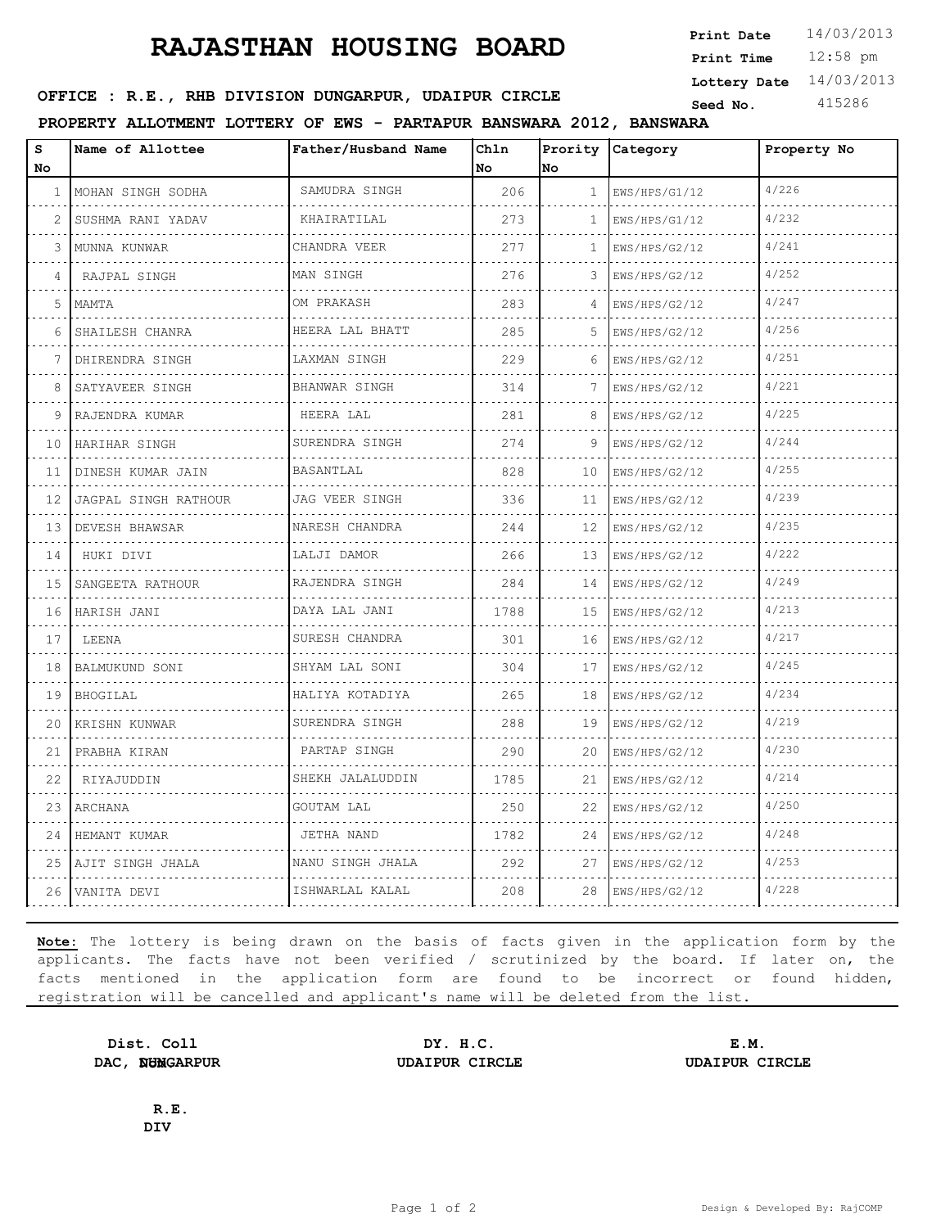# **RAJASTHAN HOUSING BOARD**

12:58 pm **Print Time Print Date**  $14/03/2013$ **Lottery Date** 14/03/2013

## **SEED OFFICE : R.E., RHB DIVISION DUNGARPUR, UDAIPUR CIRCLE** Seed No. 415286

**PROPERTY ALLOTMENT LOTTERY OF EWS - PARTAPUR BANSWARA 2012, BANSWARA**

| S<br>No      | Name of Allottee      | Father/Husband Name   | Ch1n<br>No | Prority<br>lno. | Category           | Property No |
|--------------|-----------------------|-----------------------|------------|-----------------|--------------------|-------------|
| $\mathbf{1}$ | MOHAN SINGH SODHA     | SAMUDRA SINGH         | 206        | $\mathbf{1}$    | EWS/HPS/G1/12      | 4/226       |
| 2            | SUSHMA RANI YADAV     | .<br>KHAIRATILAL      | 273        | $\mathbf{1}$    | .<br>EWS/HPS/G1/12 | 4/232       |
| 3            | MUNNA KUNWAR          | CHANDRA VEER          | 2.77       | 1               | EWS/HPS/G2/12      | 4/241       |
| 4            | RAJPAL SINGH          | MAN SINGH             | 276        | 3               | EWS/HPS/G2/12      | 4/252       |
| 5            | MAMTA                 | .<br>OM PRAKASH       | 283        | 4               | .<br>EWS/HPS/G2/12 | 4/247       |
| 6            | SHAILESH CHANRA       | HEERA LAL BHATT       | 285        | 5               | EWS/HPS/G2/12      | 4/256       |
| 7            | DHIRENDRA SINGH<br>.  | LAXMAN SINGH          | 229        | 6               | EWS/HPS/G2/12      | 4/251       |
| 8            | SATYAVEER SINGH       | .<br>BHANWAR SINGH    | 314        | 7               | .<br>EWS/HPS/G2/12 | 4/221       |
| 9            | RAJENDRA KUMAR        | HEERA LAL             | 281        | 8               | EWS/HPS/G2/12      | 4/225       |
| 10           | HARIHAR SINGH<br>.    | SURENDRA SINGH        | 274        | 9               | EWS/HPS/G2/12      | 4/244       |
| 11           | DINESH KUMAR JAIN     | BASANTLAL             | 828        | 10              | .<br>EWS/HPS/G2/12 | 4/255       |
| 12           | JAGPAL SINGH RATHOUR  | JAG VEER SINGH        | 336        | 11              | EWS/HPS/G2/12      | 4/239       |
| 13           | DEVESH BHAWSAR<br>.   | NARESH CHANDRA<br>.   | 244        | 12              | EWS/HPS/G2/12<br>. | 4/235       |
| 14           | HUKI DIVI             | LALJI DAMOR           | 266        | 13              | EWS/HPS/G2/12      | 4/222       |
| 15           | SANGEETA RATHOUR      | RAJENDRA SINGH        | 284        | 14              | EWS/HPS/G2/12      | 4/249       |
| 16           | HARISH JANI           | DAYA LAL JANI<br>.    | 1788       | 15              | EWS/HPS/G2/12<br>. | 4/213       |
| 17           | LEENA                 | SURESH CHANDRA        | 301        | 16              | EWS/HPS/G2/12      | 4/217       |
| 18           | BALMUKUND SONI        | SHYAM LAL SONI        | 304        | 17              | EWS/HPS/G2/12      | 4/245       |
| 19           | <b>BHOGILAL</b>       | HALIYA KOTADIYA<br>.  | 265        | 18              | EWS/HPS/G2/12      | 4/234       |
| 20           | KRISHN KUNWAR         | SURENDRA SINGH        | 288        | 19              | EWS/HPS/G2/12      | 4/219       |
| 21           | PRABHA KIRAN          | PARTAP SINGH          | 290        | 20              | EWS/HPS/G2/12      | 4/230       |
| 22           | RIYAJUDDIN            | SHEKH JALALUDDIN<br>. | 1785       | 21              | EWS/HPS/G2/12      | 4/214       |
| 23           | ARCHANA               | GOUTAM LAL            | 250        | 22              | EWS/HPS/G2/12      | 4/250       |
| 24           | HEMANT KUMAR          | JETHA NAND            | 1782       | 24              | EWS/HPS/G2/12      | 4/248       |
|              | 25   AJIT SINGH JHALA | NANU SINGH JHALA      | 292        | 27              | EWS/HPS/G2/12      | 4/253       |
|              | 26 VANITA DEVI        | ISHWARLAL KALAL       | 208        | 28              | EWS/HPS/G2/12      | 4/228       |

**Note:** The lottery is being drawn on the basis of facts given in the application form by the applicants. The facts have not been verified / scrutinized by the board. If later on, the facts mentioned in the application form are found to be incorrect or found hidden, registration will be cancelled and applicant's name will be deleted from the list.

**Dist. Coll**  DAC, NUMGARPUR

**DY. H.C. E.M. DAC, DUNGARPUR UDAIPUR CIRCLE UDAIPUR CIRCLE**

**R.E. DIV**